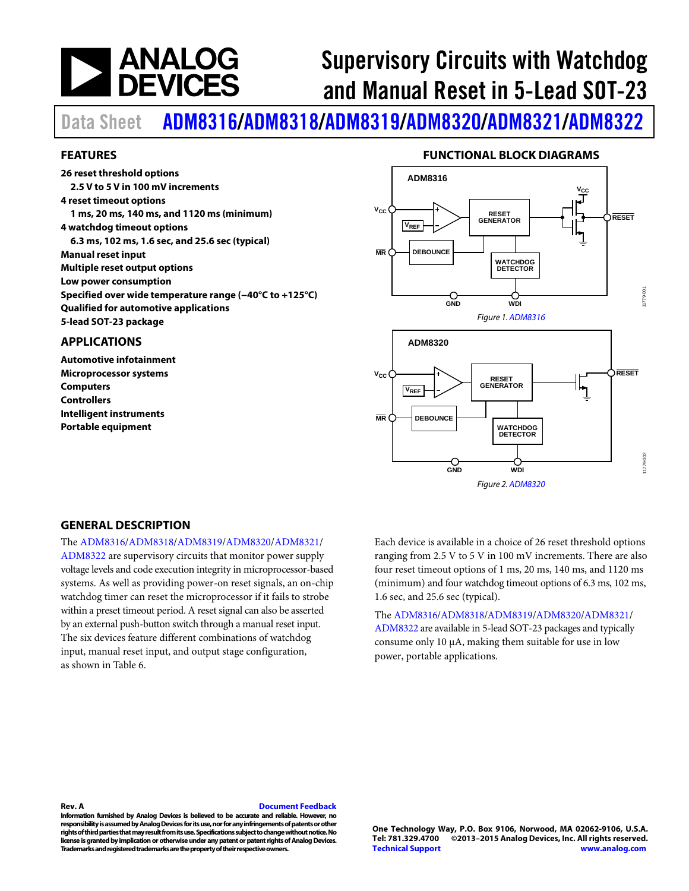# **NEWALOG**<br>DEVICES

# Supervisory Circuits with Watchdog and Manual Reset in 5-Lead SOT-23

Data Sheet [ADM8316](http://www.analog.com/ADM8316?doc=ADM8316_8318_8319_8320_8321_8322.pdf)/[ADM8318](http://www.analog.com/ADM8318?doc=ADM8316_8318_8319_8320_8321_8322.pdf)/[ADM8319](http://www.analog.com/ADM8319?doc=ADM8316_8318_8319_8320_8321_8322.pdf)/[ADM8320](http://www.analog.com/ADM8320?doc=ADM8316_8318_8319_8320_8321_8322.pdf)/[ADM8321](http://www.analog.com/ADM8321?doc=ADM8316_8318_8319_8320_8321_8322.pdf)/[ADM8322](http://www.analog.com/ADM8322?doc=ADM8316_8318_8319_8320_8321_8322.pdf)

#### <span id="page-0-0"></span>**FEATURES**

**26 reset threshold options 2.5 V to 5 V in 100 mV increments 4 reset timeout options 1 ms, 20 ms, 140 ms, and 1120 ms (minimum) 4 watchdog timeout options 6.3 ms, 102 ms, 1.6 sec, and 25.6 sec (typical) Manual reset input Multiple reset output options Low power consumption Specified over wide temperature range (−40°C to +125°C) Qualified for automotive applications 5-lead SOT-23 package**

#### <span id="page-0-1"></span>**APPLICATIONS**

**Automotive infotainment Microprocessor systems Computers Controllers Intelligent instruments Portable equipment**

#### **FUNCTIONAL BLOCK DIAGRAMS**

<span id="page-0-2"></span>



#### <span id="page-0-3"></span>**GENERAL DESCRIPTION**

The [ADM8316](http://www.analog.com/ADM8316?doc=ADM8316_8318_8319_8320_8321_8322.pdf)[/ADM8318](http://www.analog.com/ADM8318?doc=ADM8316_8318_8319_8320_8321_8322.pdf)[/ADM8319/](http://www.analog.com/ADM8319?doc=ADM8316_8318_8319_8320_8321_8322.pdf)[ADM8320/](http://www.analog.com/ADM8320?doc=ADM8316_8318_8319_8320_8321_8322.pdf)[ADM8321/](http://www.analog.com/ADM8321?doc=ADM8316_8318_8319_8320_8321_8322.pdf)

[ADM8322](http://www.analog.com/ADM8322?doc=ADM8316_8318_8319_8320_8321_8322.pdf) are supervisory circuits that monitor power supply voltage levels and code execution integrity in microprocessor-based systems. As well as providing power-on reset signals, an on-chip watchdog timer can reset the microprocessor if it fails to strobe within a preset timeout period. A reset signal can also be asserted by an external push-button switch through a manual reset input. The six devices feature different combinations of watchdog input, manual reset input, and output stage configuration, as shown i[n Table 6.](#page-11-0) 

Each device is available in a choice of 26 reset threshold options ranging from 2.5 V to 5 V in 100 mV increments. There are also four reset timeout options of 1 ms, 20 ms, 140 ms, and 1120 ms (minimum) and four watchdog timeout options of 6.3 ms, 102 ms, 1.6 sec, and 25.6 sec (typical).

The [ADM8316](http://www.analog.com/ADM8316?doc=ADM8316_8318_8319_8320_8321_8322.pdf)[/ADM8318](http://www.analog.com/ADM8318?doc=ADM8316_8318_8319_8320_8321_8322.pdf)[/ADM8319](http://www.analog.com/ADM8319?doc=ADM8316_8318_8319_8320_8321_8322.pdf)[/ADM8320](http://www.analog.com/ADM8320?doc=ADM8316_8318_8319_8320_8321_8322.pdf)[/ADM8321/](http://www.analog.com/ADM8321?doc=ADM8316_8318_8319_8320_8321_8322.pdf) [ADM8322](http://www.analog.com/ADM8322?doc=ADM8316_8318_8319_8320_8321_8322.pdf) are available in 5-lead SOT-23 packages and typically consume only 10 µA, making them suitable for use in low power, portable applications.

#### **Rev. A [Document Feedback](https://form.analog.com/Form_Pages/feedback/documentfeedback.aspx?doc=ADM8316_8318_8319_8320_8321_8322.pdf&product=ADM8316%20ADM8318%20ADM8319%20ADM8320%20ADM8321%20ADM8322&rev=A)**

**Information furnished by Analog Devices is believed to be accurate and reliable. However, no responsibility is assumed by Analog Devices for its use, nor for any infringements of patents or other rights of third parties that may result from its use. Specifications subject to change without notice. No license is granted by implication or otherwise under any patent or patent rights of Analog Devices. Trademarks and registered trademarks are the property of their respective owners.**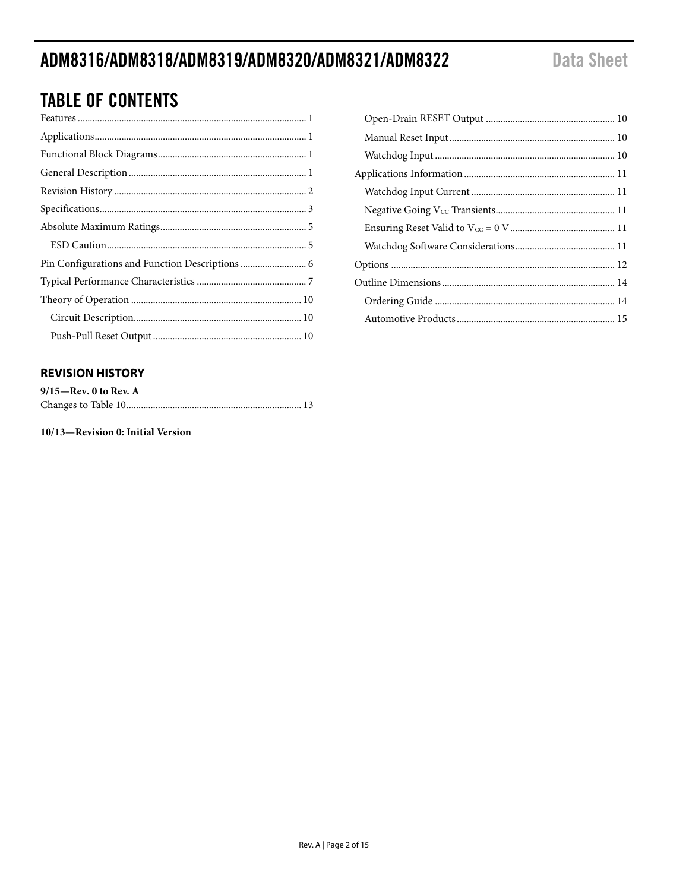### ADM8316/ADM8318/ADM8319/ADM8320/ADM8321/ADM8322

### **TABLE OF CONTENTS**

| Pin Configurations and Function Descriptions  6 |  |
|-------------------------------------------------|--|
|                                                 |  |
|                                                 |  |
|                                                 |  |
|                                                 |  |
|                                                 |  |

### <span id="page-1-0"></span>**REVISION HISTORY**

| $9/15$ —Rev. 0 to Rev. A |  |
|--------------------------|--|
|                          |  |

10/13-Revision 0: Initial Version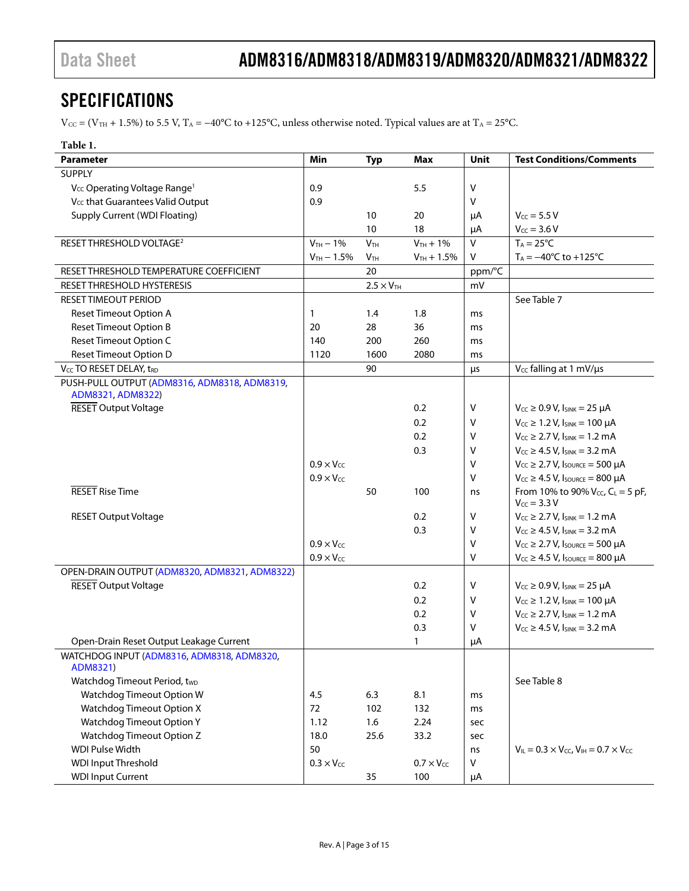### <span id="page-2-0"></span>SPECIFICATIONS

 $V_{CC} = (V_{TH} + 1.5\%)$  to 5.5 V, T<sub>A</sub> = −40°C to +125°C, unless otherwise noted. Typical values are at T<sub>A</sub> = 25°C.

| Parameter                                                         | Min                 | <b>Typ</b>                 | Max                 | <b>Unit</b> | <b>Test Conditions/Comments</b>                              |
|-------------------------------------------------------------------|---------------------|----------------------------|---------------------|-------------|--------------------------------------------------------------|
| <b>SUPPLY</b>                                                     |                     |                            |                     |             |                                                              |
| V <sub>CC</sub> Operating Voltage Range <sup>1</sup>              | 0.9                 |                            | 5.5                 | v           |                                                              |
| V <sub>cc</sub> that Guarantees Valid Output                      | 0.9                 |                            |                     | v           |                                                              |
| <b>Supply Current (WDI Floating)</b>                              |                     | 10                         | 20                  | μA          | $V_{CC} = 5.5 V$                                             |
|                                                                   |                     | 10                         | 18                  | μA          | $V_{CC} = 3.6 V$                                             |
| RESET THRESHOLD VOLTAGE <sup>2</sup>                              | $V_{TH}$ - 1%       | V <sub>TH</sub>            | $V_{TH} + 1\%$      | $\vee$      | $T_A = 25^{\circ}C$                                          |
|                                                                   | $V_{TH} - 1.5\%$    | V <sub>TH</sub>            | $V_{TH} + 1.5%$     | V           | $T_A = -40^{\circ}C$ to $+125^{\circ}C$                      |
| RESET THRESHOLD TEMPERATURE COEFFICIENT                           |                     | 20                         |                     | ppm/°C      |                                                              |
| RESET THRESHOLD HYSTERESIS                                        |                     | $2.5 \times V_{\text{TH}}$ |                     | mV          |                                                              |
| <b>RESET TIMEOUT PERIOD</b>                                       |                     |                            |                     |             | See Table 7                                                  |
| <b>Reset Timeout Option A</b>                                     | 1                   | 1.4                        | 1.8                 | ms          |                                                              |
| <b>Reset Timeout Option B</b>                                     | 20                  | 28                         | 36                  | ms          |                                                              |
| <b>Reset Timeout Option C</b>                                     | 140                 | 200                        | 260                 | ms          |                                                              |
| <b>Reset Timeout Option D</b>                                     | 1120                | 1600                       | 2080                | ms          |                                                              |
| V <sub>CC</sub> TO RESET DELAY, t <sub>RD</sub>                   |                     | 90                         |                     | μs          | V <sub>cc</sub> falling at 1 mV/us                           |
| PUSH-PULL OUTPUT (ADM8316, ADM8318, ADM8319,<br>ADM8321, ADM8322) |                     |                            |                     |             |                                                              |
| <b>RESET Output Voltage</b>                                       |                     |                            | 0.2                 | ۷           | $V_{CC} \geq 0.9 V$ , $I_{SINK} = 25 \mu A$                  |
|                                                                   |                     |                            | 0.2                 | ۷           | $V_{CC} \ge 1.2 V$ , $I_{SINK} = 100 \mu A$                  |
|                                                                   |                     |                            | 0.2                 | ۷           | $V_{CC} \ge 2.7 V$ , $I_{SINK} = 1.2 mA$                     |
|                                                                   |                     |                            | 0.3                 | v           | $V_{CC} \ge 4.5 V$ , $I_{SINK} = 3.2 mA$                     |
|                                                                   | $0.9 \times V_{cc}$ |                            |                     | V           | $V_{CC} \geq 2.7 V$ , Isource = 500 µA                       |
|                                                                   | $0.9 \times V_{CC}$ |                            |                     | V           | $V_{CC} \geq 4.5$ V, Isource = 800 µA                        |
| <b>RESET Rise Time</b>                                            |                     | 50                         | 100                 | ns          | From 10% to 90% $V_{CC}$ , $C_L = 5$ pF,<br>$V_{CC} = 3.3 V$ |
| <b>RESET Output Voltage</b>                                       |                     |                            | 0.2                 | v           | $V_{CC} \ge 2.7 V$ , $I_{SINK} = 1.2 mA$                     |
|                                                                   |                     |                            | 0.3                 | V           | $V_{CC} \ge 4.5 V$ , $I_{SINK} = 3.2 mA$                     |
|                                                                   | $0.9 \times V_{CC}$ |                            |                     | V           | $V_{CC} \geq 2.7 V$ , Isource = 500 µA                       |
|                                                                   | $0.9 \times V_{CC}$ |                            |                     | v           | $V_{CC} \geq 4.5$ V, $I_{SOLRCE} = 800$ µA                   |
| OPEN-DRAIN OUTPUT (ADM8320, ADM8321, ADM8322)                     |                     |                            |                     |             |                                                              |
| <b>RESET Output Voltage</b>                                       |                     |                            | 0.2                 | v           | $V_{CC} \ge 0.9 V$ , $I_{SINK} = 25 \mu A$                   |
|                                                                   |                     |                            | 0.2                 | v           | $V_{CC} \ge 1.2 V$ , $I_{SINK} = 100 \mu A$                  |
|                                                                   |                     |                            | 0.2                 | v           | $V_{CC} \ge 2.7 V$ , $I_{SINK} = 1.2 mA$                     |
|                                                                   |                     |                            | 0.3                 | v           | $V_{CC} \ge 4.5 V$ , $I_{SINK} = 3.2 mA$                     |
| Open-Drain Reset Output Leakage Current                           |                     |                            | $\mathbf{1}$        | μA          |                                                              |
| WATCHDOG INPUT (ADM8316, ADM8318, ADM8320,<br>ADM8321)            |                     |                            |                     |             |                                                              |
| Watchdog Timeout Period, two                                      |                     |                            |                     |             | See Table 8                                                  |
| Watchdog Timeout Option W                                         | 4.5                 | 6.3                        | 8.1                 | ms          |                                                              |
| <b>Watchdog Timeout Option X</b>                                  | 72                  | 102                        | 132                 | ms          |                                                              |
| <b>Watchdog Timeout Option Y</b>                                  | 1.12                | 1.6                        | 2.24                | sec         |                                                              |
| <b>Watchdog Timeout Option Z</b>                                  | 18.0                | 25.6                       | 33.2                | sec         |                                                              |
| <b>WDI Pulse Width</b>                                            | 50                  |                            |                     | ns          | $V_{IL} = 0.3 \times V_{CC}$ , $V_{IH} = 0.7 \times V_{CC}$  |
| <b>WDI Input Threshold</b>                                        | $0.3 \times V_{CC}$ |                            | $0.7 \times V_{CC}$ | V           |                                                              |
| <b>WDI Input Current</b>                                          |                     | 35                         | 100                 | μA          |                                                              |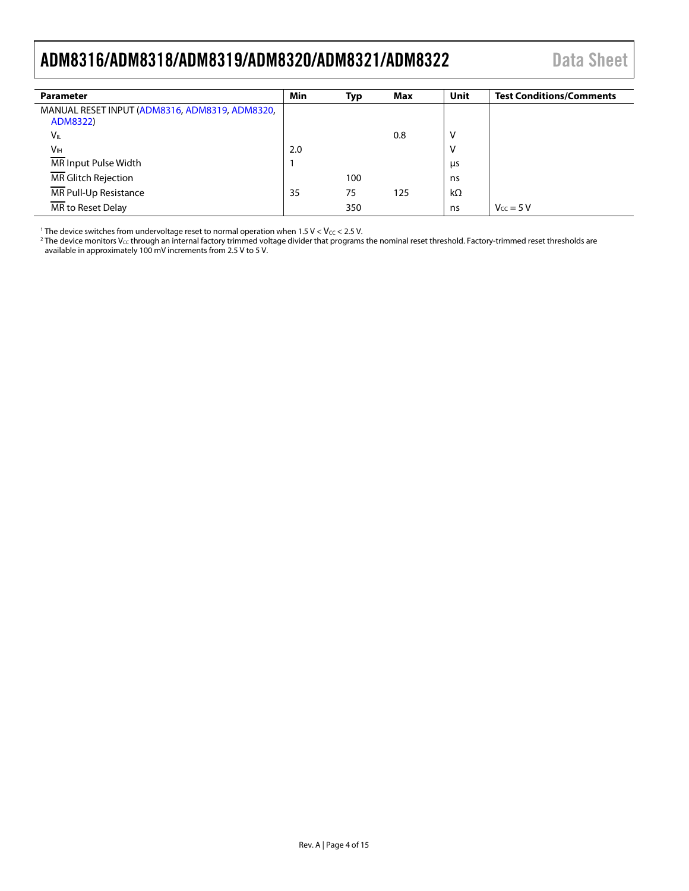### <span id="page-3-0"></span>ADM8316/ADM8318/ADM8319/ADM8320/ADM8321/ADM8322 Data Sheet

| <b>Parameter</b>                               | Min | Typ | Max | Unit      | <b>Test Conditions/Comments</b> |
|------------------------------------------------|-----|-----|-----|-----------|---------------------------------|
| MANUAL RESET INPUT (ADM8316, ADM8319, ADM8320, |     |     |     |           |                                 |
| ADM8322)                                       |     |     |     |           |                                 |
| $V_{IL}$                                       |     |     | 0.8 | ν         |                                 |
| <b>V<sub>IH</sub></b>                          | 2.0 |     |     | ٧         |                                 |
| MR Input Pulse Width                           |     |     |     | μs        |                                 |
| MR Glitch Rejection                            |     | 100 |     | ns        |                                 |
| MR Pull-Up Resistance                          | 35  | 75  | 125 | $k\Omega$ |                                 |
| MR to Reset Delay                              |     | 350 |     | ns        | $V_{cc} = 5 V$                  |

<sup>1</sup> The device switches from undervoltage reset to normal operation when  $1.5$  V < Vcc < 2.5 V.

 $^2$  The device monitors V $\rm{c}$ c through an internal factory trimmed voltage divider that programs the nominal reset threshold. Factory-trimmed reset thresholds are available in approximately 100 mV increments from 2.5 V to 5 V.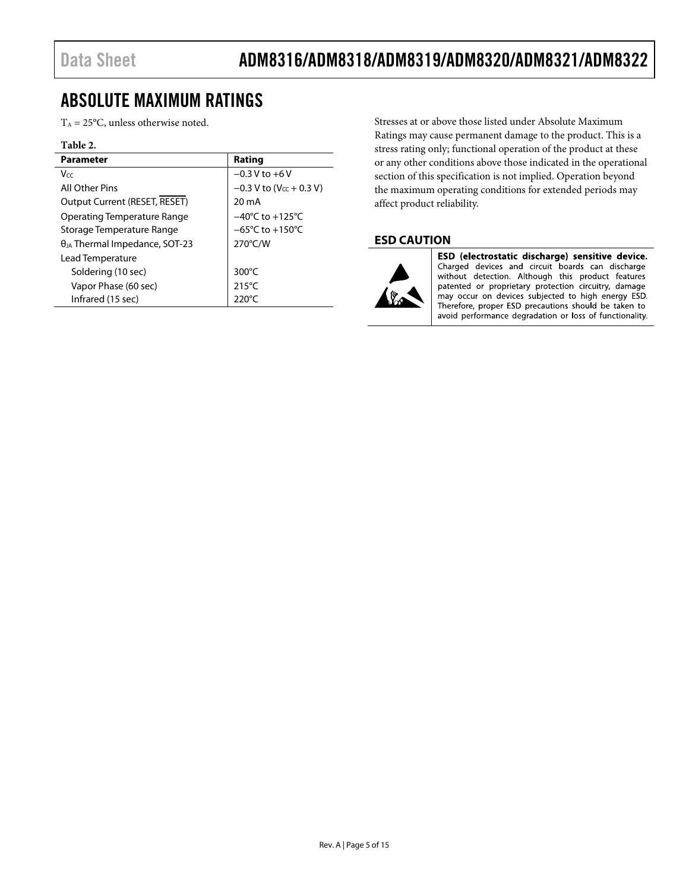### <span id="page-4-0"></span>ABSOLUTE MAXIMUM RATINGS

 $T_A = 25$ °C, unless otherwise noted.

#### **Table 2.**

| <b>Parameter</b>                          | Rating                                |
|-------------------------------------------|---------------------------------------|
| Vcc                                       | $-0.3 V$ to $+6V$                     |
| All Other Pins                            | $-0.3$ V to (V <sub>cc</sub> + 0.3 V) |
| Output Current (RESET, RESET)             | 20 mA                                 |
| Operating Temperature Range               | $-40^{\circ}$ C to $+125^{\circ}$ C   |
| Storage Temperature Range                 | $-65^{\circ}$ C to $+150^{\circ}$ C   |
| θ <sub>JA</sub> Thermal Impedance, SOT-23 | $270^{\circ}$ C/W                     |
| Lead Temperature                          |                                       |
| Soldering (10 sec)                        | 300 $\degree$ C                       |
| Vapor Phase (60 sec)                      | $215^{\circ}$ C                       |
| Infrared (15 sec)                         | 220°C                                 |

Stresses at or above those listed under Absolute Maximum Ratings may cause permanent damage to the product. This is a stress rating only; functional operation of the product at these or any other conditions above those indicated in the operational section of this specification is not implied. Operation beyond the maximum operating conditions for extended periods may affect product reliability.

### <span id="page-4-1"></span>**ESD CAUTION**



ESD (electrostatic discharge) sensitive device. Charged devices and circuit boards can discharge without detection. Although this product features patented or proprietary protection circuitry, damage may occur on devices subjected to high energy ESD. Therefore, proper ESD precautions should be taken to avoid performance degradation or loss of functionality.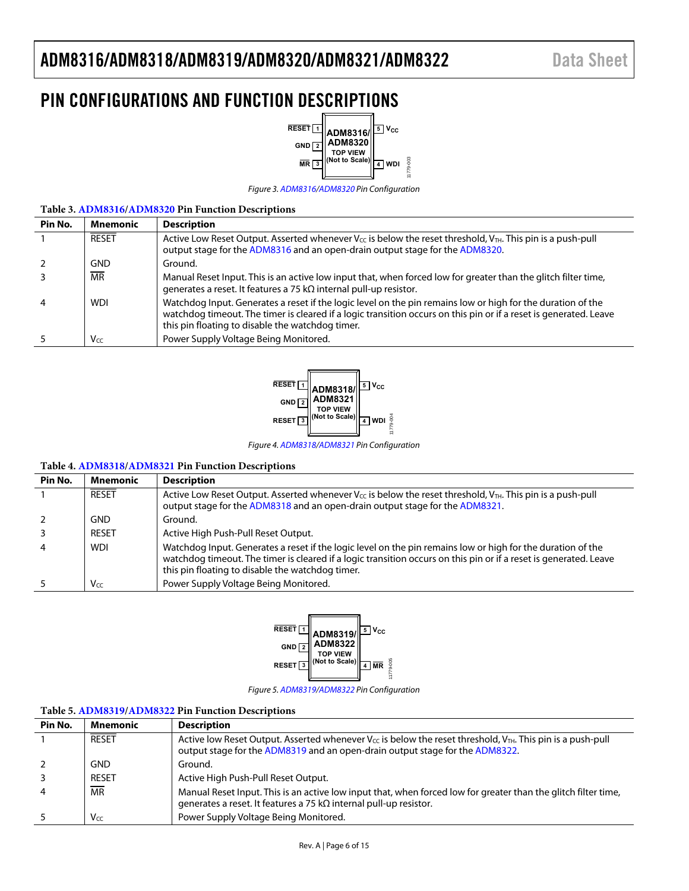### <span id="page-5-0"></span>PIN CONFIGURATIONS AND FUNCTION DESCRIPTIONS



Figure 3[. ADM8316](http://www.analog.com/ADM8316?doc=ADM8316_8318_8319_8320_8321_8322.pdf)[/ADM8320 P](http://www.analog.com/ADM8320?doc=ADM8316_8318_8319_8320_8321_8322.pdf)in Configuration

#### **Table 3[. ADM8316](http://www.analog.com/ADM8316?doc=ADM8316_8318_8319_8320_8321_8322.pdf)[/ADM8320 P](http://www.analog.com/ADM8320?doc=ADM8316_8318_8319_8320_8321_8322.pdf)in Function Descriptions**

| Pin No.        | <b>Mnemonic</b> | <b>Description</b>                                                                                                                                                                                                                                                                   |
|----------------|-----------------|--------------------------------------------------------------------------------------------------------------------------------------------------------------------------------------------------------------------------------------------------------------------------------------|
|                | <b>RESET</b>    | Active Low Reset Output. Asserted whenever $V_{\text{CC}}$ is below the reset threshold, $V_{\text{TH}}$ . This pin is a push-pull<br>output stage for the ADM8316 and an open-drain output stage for the ADM8320.                                                                   |
| -2             | GND             | Ground.                                                                                                                                                                                                                                                                              |
|                | <b>MR</b>       | Manual Reset Input. This is an active low input that, when forced low for greater than the glitch filter time,<br>generates a reset. It features a 75 k $\Omega$ internal pull-up resistor.                                                                                          |
| $\overline{4}$ | <b>WDI</b>      | Watchdog Input. Generates a reset if the logic level on the pin remains low or high for the duration of the<br>watchdog timeout. The timer is cleared if a logic transition occurs on this pin or if a reset is generated. Leave<br>this pin floating to disable the watchdog timer. |
|                | Vcc             | Power Supply Voltage Being Monitored.                                                                                                                                                                                                                                                |



#### **Table 4[. ADM8318](http://www.analog.com/ADM8318?doc=ADM8316_8318_8319_8320_8321_8322.pdf)[/ADM8321 P](http://www.analog.com/ADM8321?doc=ADM8316_8318_8319_8320_8321_8322.pdf)in Function Descriptions**

| Pin No.        | <b>Mnemonic</b> | <b>Description</b>                                                                                                                                                                                                                                                                   |
|----------------|-----------------|--------------------------------------------------------------------------------------------------------------------------------------------------------------------------------------------------------------------------------------------------------------------------------------|
|                | <b>RESET</b>    | Active Low Reset Output. Asserted whenever $V_{\text{CC}}$ is below the reset threshold, $V_{\text{TH}}$ . This pin is a push-pull<br>output stage for the ADM8318 and an open-drain output stage for the ADM8321.                                                                   |
| 2              | <b>GND</b>      | Ground.                                                                                                                                                                                                                                                                              |
| 3              | <b>RESET</b>    | Active High Push-Pull Reset Output.                                                                                                                                                                                                                                                  |
| $\overline{4}$ | <b>WDI</b>      | Watchdog Input. Generates a reset if the logic level on the pin remains low or high for the duration of the<br>watchdog timeout. The timer is cleared if a logic transition occurs on this pin or if a reset is generated. Leave<br>this pin floating to disable the watchdog timer. |
|                | Vcc             | Power Supply Voltage Being Monitored.                                                                                                                                                                                                                                                |



Figure 5[. ADM8319](http://www.analog.com/ADM8319?doc=ADM8316_8318_8319_8320_8321_8322.pdf)[/ADM8322 P](http://www.analog.com/ADM8322?doc=ADM8316_8318_8319_8320_8321_8322.pdf)in Configuration

#### **Table 5[. ADM8319](http://www.analog.com/ADM8319?doc=ADM8316_8318_8319_8320_8321_8322.pdf)[/ADM8322 P](http://www.analog.com/ADM8322?doc=ADM8316_8318_8319_8320_8321_8322.pdf)in Function Descriptions**

| Pin No. | Mnemonic     | <b>Description</b>                                                                                                                                                                                                 |
|---------|--------------|--------------------------------------------------------------------------------------------------------------------------------------------------------------------------------------------------------------------|
|         | <b>RESET</b> | Active low Reset Output. Asserted whenever V <sub>cc</sub> is below the reset threshold, V <sub>TH</sub> . This pin is a push-pull<br>output stage for the ADM8319 and an open-drain output stage for the ADM8322. |
|         | <b>GND</b>   | Ground.                                                                                                                                                                                                            |
|         | <b>RESET</b> | Active High Push-Pull Reset Output.                                                                                                                                                                                |
| 4       | <b>MR</b>    | Manual Reset Input. This is an active low input that, when forced low for greater than the glitch filter time,<br>generates a reset. It features a 75 k $\Omega$ internal pull-up resistor.                        |
|         | Vcc          | Power Supply Voltage Being Monitored.                                                                                                                                                                              |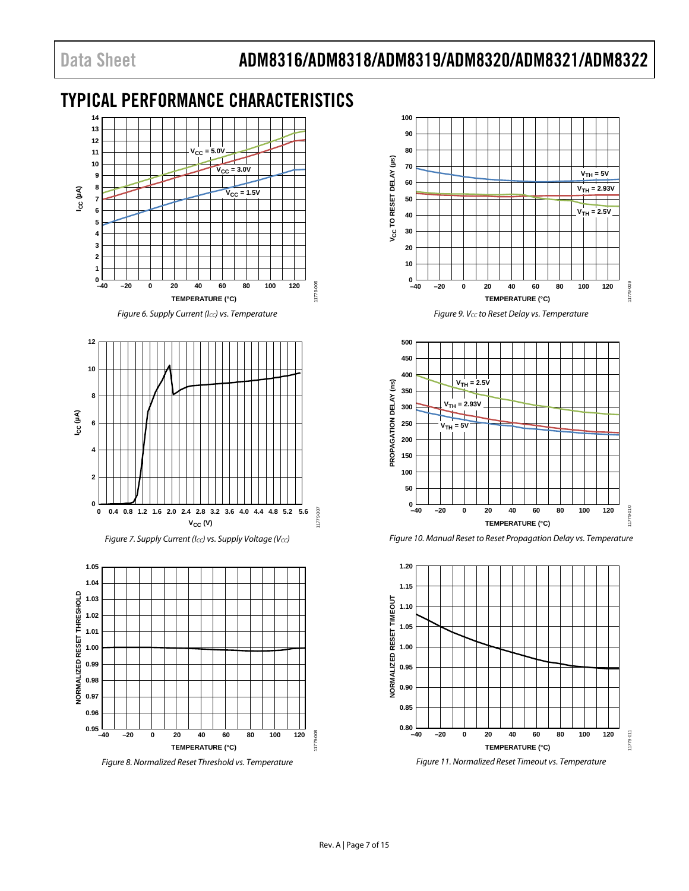### <span id="page-6-0"></span>TYPICAL PERFORMANCE CHARACTERISTICS



*Figure 6. Supply Current (ICC) vs. Temperature*



*Figure 7. Supply Current (Icc) vs. Supply Voltage (Vcc)* 



*Figure 8. Normalized Reset Threshold vs. Temperature*



*Figure 9. VCC to Reset Delay vs. Temperature*



*Figure 10. Manual Reset to Reset Propagation Delay vs. Temperature*



*Figure 11. Normalized Reset Timeout vs. Temperature*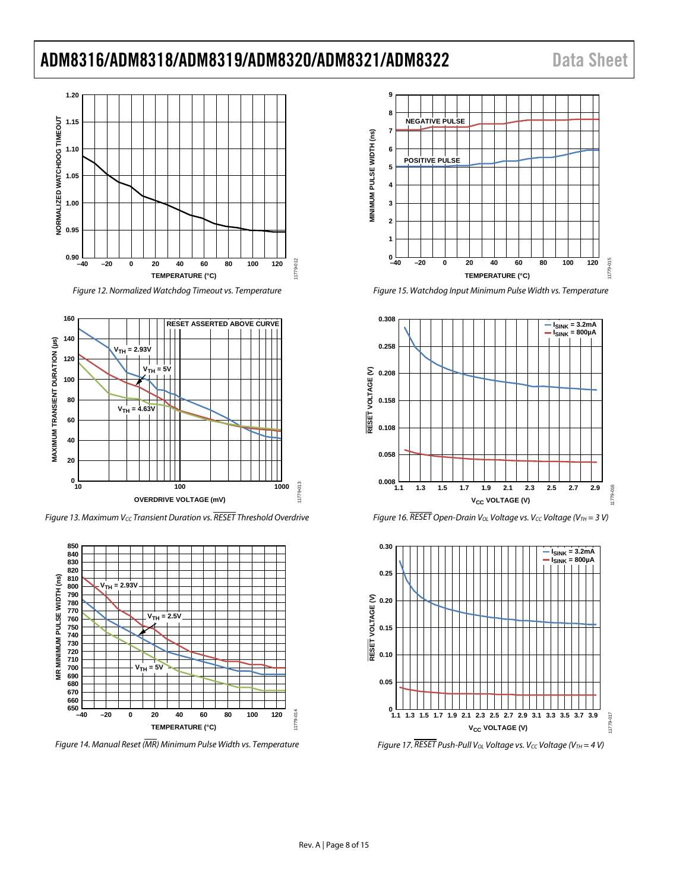### ADM8316/ADM8318/ADM8319/ADM8320/ADM8321/ADM8322 Data Sheet



*Figure 12. Normalized Watchdog Timeout vs. Temperature*



<span id="page-7-0"></span>*Figure 13. Maximum V<sub>CC</sub> Transient Duration vs. RESET Threshold Overdrive* 



*Figure 14. Manual Reset (MR) Minimum Pulse Width vs. Temperature*



*Figure 15. Watchdog Input Minimum Pulse Width vs. Temperature*







*Figure 17. RESET Push-Pull V<sub>OL</sub> Voltage vs. V<sub>CC</sub> Voltage (V<sub>TH</sub> = 4 V)*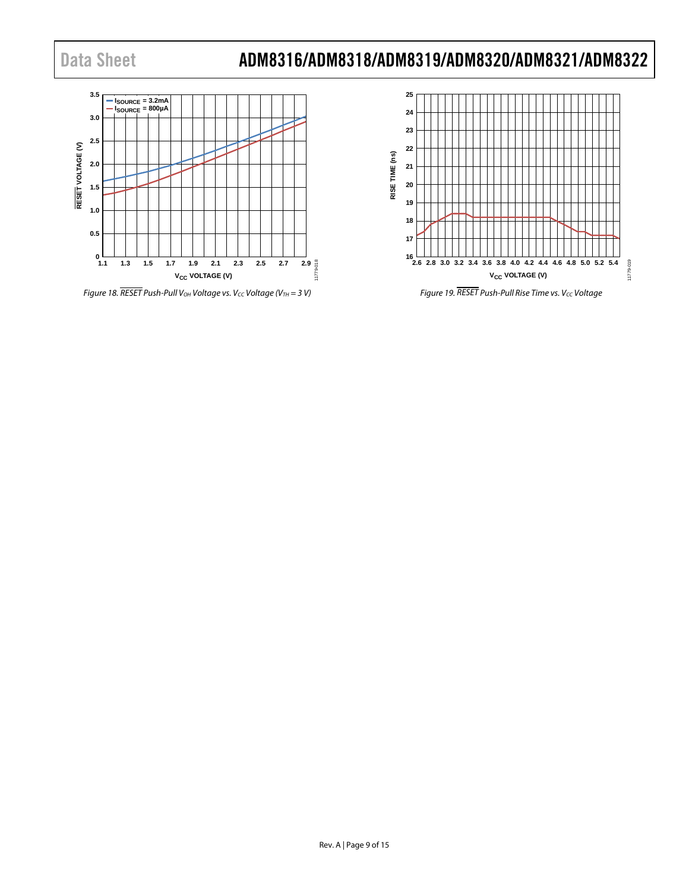

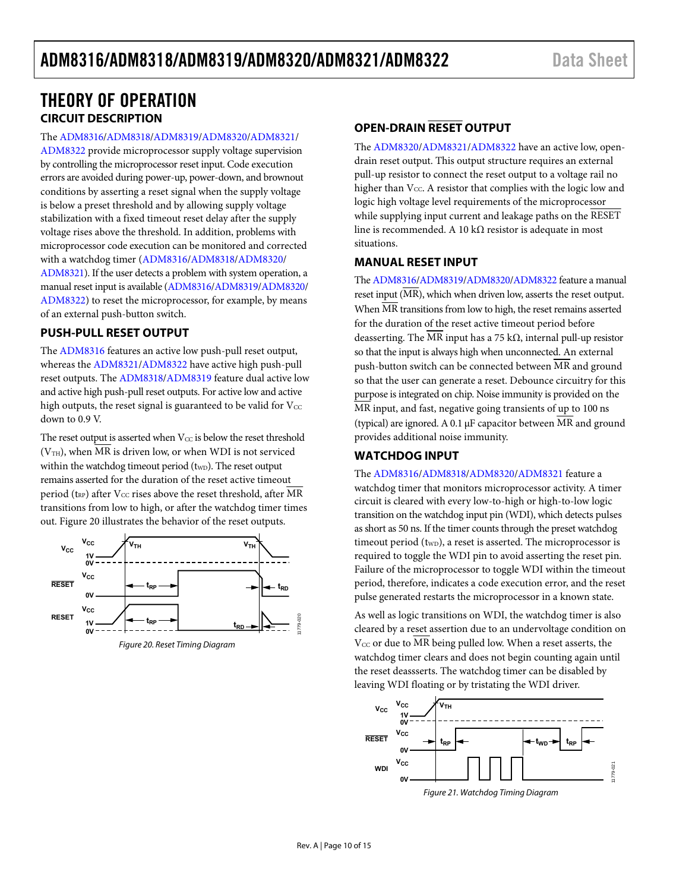### <span id="page-9-0"></span>THEORY OF OPERATION **CIRCUIT DESCRIPTION**

<span id="page-9-1"></span>The [ADM8316](http://www.analog.com/ADM8316?doc=ADM8316_8318_8319_8320_8321_8322.pdf)[/ADM8318](http://www.analog.com/ADM8318?doc=ADM8316_8318_8319_8320_8321_8322.pdf)[/ADM8319](http://www.analog.com/ADM8319?doc=ADM8316_8318_8319_8320_8321_8322.pdf)[/ADM8320](http://www.analog.com/ADM8320?doc=ADM8316_8318_8319_8320_8321_8322.pdf)[/ADM8321/](http://www.analog.com/ADM8321?doc=ADM8316_8318_8319_8320_8321_8322.pdf)

[ADM8322](http://www.analog.com/ADM8322?doc=ADM8316_8318_8319_8320_8321_8322.pdf) provide microprocessor supply voltage supervision by controlling the microprocessor reset input. Code execution errors are avoided during power-up, power-down, and brownout conditions by asserting a reset signal when the supply voltage is below a preset threshold and by allowing supply voltage stabilization with a fixed timeout reset delay after the supply voltage rises above the threshold. In addition, problems with microprocessor code execution can be monitored and corrected with a watchdog timer [\(ADM8316](http://www.analog.com/ADM8316?doc=ADM8316_8318_8319_8320_8321_8322.pdf)[/ADM8318](http://www.analog.com/ADM8318?doc=ADM8316_8318_8319_8320_8321_8322.pdf)[/ADM8320/](http://www.analog.com/ADM8320?doc=ADM8316_8318_8319_8320_8321_8322.pdf) [ADM8321\)](http://www.analog.com/ADM8321?doc=ADM8316_8318_8319_8320_8321_8322.pdf). If the user detects a problem with system operation, a manual reset input is available [\(ADM8316](http://www.analog.com/ADM8316?doc=ADM8316_8318_8319_8320_8321_8322.pdf)[/ADM8319/](http://www.analog.com/ADM8319?doc=ADM8316_8318_8319_8320_8321_8322.pdf)[ADM8320/](http://www.analog.com/ADM8320?doc=ADM8316_8318_8319_8320_8321_8322.pdf) [ADM8322\)](http://www.analog.com/ADM8322?doc=ADM8316_8318_8319_8320_8321_8322.pdf) to reset the microprocessor, for example, by means of an external push-button switch.

#### <span id="page-9-2"></span>**PUSH-PULL RESET OUTPUT**

The [ADM8316](http://www.analog.com/ADM8316?doc=ADM8316_8318_8319_8320_8321_8322.pdf) features an active low push-pull reset output, whereas the [ADM8321](http://www.analog.com/ADM8321?doc=ADM8316_8318_8319_8320_8321_8322.pdf)[/ADM8322 h](http://www.analog.com/ADM8322?doc=ADM8316_8318_8319_8320_8321_8322.pdf)ave active high push-pull reset outputs. The [ADM8318/](http://www.analog.com/ADM8318?doc=ADM8316_8318_8319_8320_8321_8322.pdf)[ADM8319](http://www.analog.com/ADM8319?doc=ADM8316_8318_8319_8320_8321_8322.pdf) feature dual active low and active high push-pull reset outputs. For active low and active high outputs, the reset signal is guaranteed to be valid for  $V_{\text{CC}}$ down to 0.9 V.

The reset output is asserted when  $V_{CC}$  is below the reset threshold  $(V<sub>TH</sub>)$ , when MR is driven low, or when WDI is not serviced within the watchdog timeout period  $(t_{WD})$ . The reset output remains asserted for the duration of the reset active timeout period ( $t_{RP}$ ) after V<sub>CC</sub> rises above the reset threshold, after MR transitions from low to high, or after the watchdog timer times out. [Figure 20 i](#page-9-6)llustrates the behavior of the reset outputs.



<span id="page-9-6"></span>Figure 20. Reset Timing Diagram

### <span id="page-9-3"></span>**OPEN-DRAIN RESET OUTPUT**

The [ADM8320](http://www.analog.com/ADM8320?doc=ADM8316_8318_8319_8320_8321_8322.pdf)[/ADM8321](http://www.analog.com/ADM8321?doc=ADM8316_8318_8319_8320_8321_8322.pdf)[/ADM8322 h](http://www.analog.com/ADM8322?doc=ADM8316_8318_8319_8320_8321_8322.pdf)ave an active low, opendrain reset output. This output structure requires an external pull-up resistor to connect the reset output to a voltage rail no higher than  $V_{CC}$ . A resistor that complies with the logic low and logic high voltage level requirements of the microprocessor while supplying input current and leakage paths on the RESET line is recommended. A 10 kΩ resistor is adequate in most situations.

#### <span id="page-9-4"></span>**MANUAL RESET INPUT**

Th[e ADM8316](http://www.analog.com/ADM8316?doc=ADM8316_8318_8319_8320_8321_8322.pdf)[/ADM8319](http://www.analog.com/ADM8319?doc=ADM8316_8318_8319_8320_8321_8322.pdf)[/ADM8320/](http://www.analog.com/ADM8320?doc=ADM8316_8318_8319_8320_8321_8322.pdf)[ADM8322 f](http://www.analog.com/ADM8322?doc=ADM8316_8318_8319_8320_8321_8322.pdf)eature a manual reset input (MR), which when driven low, asserts the reset output. When MR transitions from low to high, the reset remains asserted for the duration of the reset active timeout period before deasserting. The MR input has a 75 kΩ, internal pull-up resistor so that the input is always high when unconnected. An external push-button switch can be connected between  $\overline{MR}$  and ground so that the user can generate a reset. Debounce circuitry for this purpose is integrated on chip. Noise immunity is provided on the MR input, and fast, negative going transients of up to 100 ns (typical) are ignored. A 0.1 μF capacitor between MR and ground provides additional noise immunity.

#### <span id="page-9-5"></span>**WATCHDOG INPUT**

The [ADM8316](http://www.analog.com/ADM8316?doc=ADM8316_8318_8319_8320_8321_8322.pdf)[/ADM8318](http://www.analog.com/ADM8318?doc=ADM8316_8318_8319_8320_8321_8322.pdf)[/ADM8320/](http://www.analog.com/ADM8320?doc=ADM8316_8318_8319_8320_8321_8322.pdf)[ADM8321 f](http://www.analog.com/ADM8321?doc=ADM8316_8318_8319_8320_8321_8322.pdf)eature a watchdog timer that monitors microprocessor activity. A timer circuit is cleared with every low-to-high or high-to-low logic transition on the watchdog input pin (WDI), which detects pulses as short as 50 ns. If the timer counts through the preset watchdog timeout period  $(t_{WD})$ , a reset is asserted. The microprocessor is required to toggle the WDI pin to avoid asserting the reset pin. Failure of the microprocessor to toggle WDI within the timeout period, therefore, indicates a code execution error, and the reset pulse generated restarts the microprocessor in a known state.

As well as logic transitions on WDI, the watchdog timer is also cleared by a reset assertion due to an undervoltage condition on  $V_{CC}$  or due to  $\overline{MR}$  being pulled low. When a reset asserts, the watchdog timer clears and does not begin counting again until the reset deassserts. The watchdog timer can be disabled by leaving WDI floating or by tristating the WDI driver.

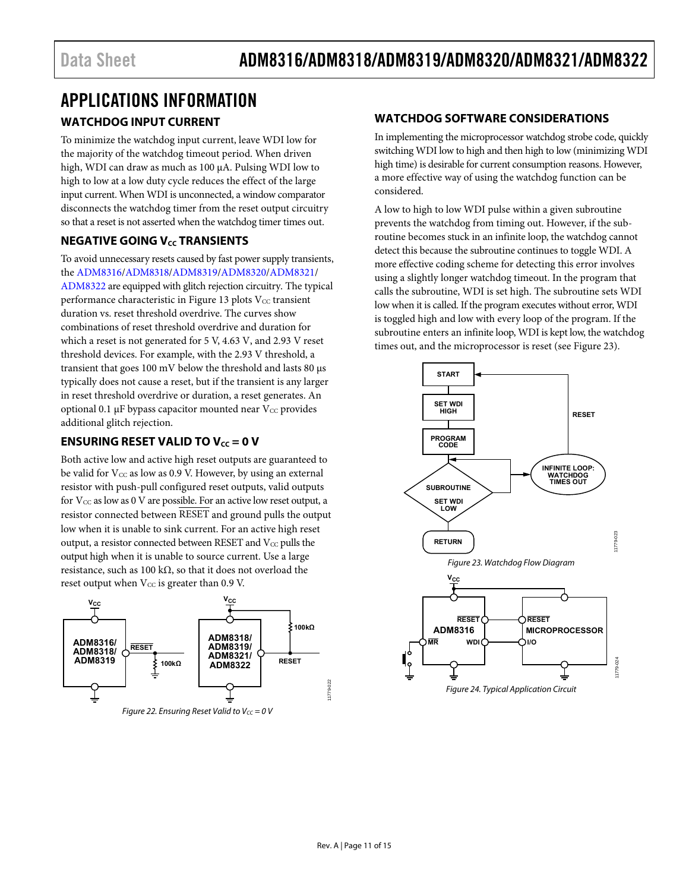### <span id="page-10-1"></span><span id="page-10-0"></span>APPLICATIONS INFORMATION **WATCHDOG INPUT CURRENT**

To minimize the watchdog input current, leave WDI low for the majority of the watchdog timeout period. When driven high, WDI can draw as much as 100 μA. Pulsing WDI low to high to low at a low duty cycle reduces the effect of the large input current. When WDI is unconnected, a window comparator disconnects the watchdog timer from the reset output circuitry so that a reset is not asserted when the watchdog timer times out.

### <span id="page-10-2"></span>**NEGATIVE GOING V<sub>cc</sub> TRANSIENTS**

To avoid unnecessary resets caused by fast power supply transients, the [ADM8316/](http://www.analog.com/ADM8316?doc=ADM8316_8318_8319_8320_8321_8322.pdf)[ADM8318](http://www.analog.com/ADM8318?doc=ADM8316_8318_8319_8320_8321_8322.pdf)[/ADM8319/](http://www.analog.com/ADM8319?doc=ADM8316_8318_8319_8320_8321_8322.pdf)[ADM8320/](http://www.analog.com/ADM8320?doc=ADM8316_8318_8319_8320_8321_8322.pdf)[ADM8321/](http://www.analog.com/ADM8321?doc=ADM8316_8318_8319_8320_8321_8322.pdf) [ADM8322](http://www.analog.com/ADM8322?doc=ADM8316_8318_8319_8320_8321_8322.pdf) are equipped with glitch rejection circuitry. The typical performance characteristic i[n Figure 13 p](#page-7-0)lots  $V_{CC}$  transient duration vs. reset threshold overdrive. The curves show combinations of reset threshold overdrive and duration for which a reset is not generated for 5 V, 4.63 V, and 2.93 V reset threshold devices. For example, with the 2.93 V threshold, a transient that goes 100 mV below the threshold and lasts 80 μs typically does not cause a reset, but if the transient is any larger in reset threshold overdrive or duration, a reset generates. An optional 0.1 μF bypass capacitor mounted near  $V_{CC}$  provides additional glitch rejection.

### <span id="page-10-3"></span>**ENSURING RESET VALID TO**  $V_{cc} = 0$  **V**

Both active low and active high reset outputs are guaranteed to be valid for  $V_{CC}$  as low as 0.9 V. However, by using an external resistor with push-pull configured reset outputs, valid outputs for  $V_{CC}$  as low as 0 V are possible. For an active low reset output, a resistor connected between RESET and ground pulls the output low when it is unable to sink current. For an active high reset output, a resistor connected between RESET and  $V_{CC}$  pulls the output high when it is unable to source current. Use a large resistance, such as 100 kΩ, so that it does not overload the reset output when  $V_{CC}$  is greater than 0.9 V.



Figure 22. Ensuring Reset Valid to  $V_{CC} = 0$  V

### <span id="page-10-4"></span>**WATCHDOG SOFTWARE CONSIDERATIONS**

In implementing the microprocessor watchdog strobe code, quickly switching WDI low to high and then high to low (minimizing WDI high time) is desirable for current consumption reasons. However, a more effective way of using the watchdog function can be considered.

A low to high to low WDI pulse within a given subroutine prevents the watchdog from timing out. However, if the subroutine becomes stuck in an infinite loop, the watchdog cannot detect this because the subroutine continues to toggle WDI. A more effective coding scheme for detecting this error involves using a slightly longer watchdog timeout. In the program that calls the subroutine, WDI is set high. The subroutine sets WDI low when it is called. If the program executes without error, WDI is toggled high and low with every loop of the program. If the subroutine enters an infinite loop, WDI is kept low, the watchdog times out, and the microprocessor is reset (see [Figure 23\)](#page-10-5).

<span id="page-10-5"></span>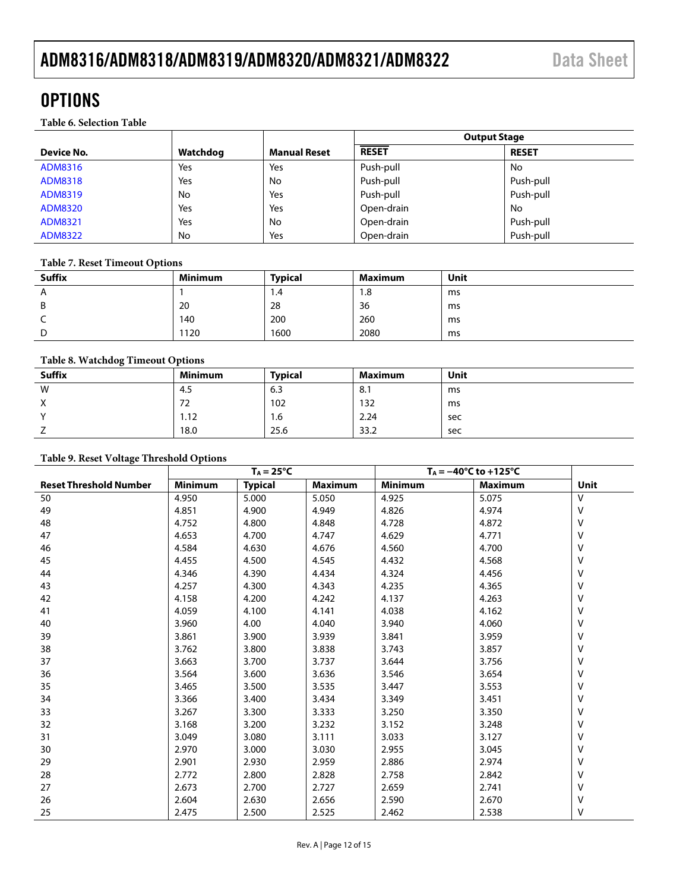### <span id="page-11-1"></span>**OPTIONS**

<span id="page-11-0"></span>**Table 6. Selection Table**

|                |          |                     | <b>Output Stage</b> |              |  |
|----------------|----------|---------------------|---------------------|--------------|--|
| Device No.     | Watchdog | <b>Manual Reset</b> | <b>RESET</b>        | <b>RESET</b> |  |
| ADM8316        | Yes      | Yes                 | Push-pull           | No           |  |
| ADM8318        | Yes      | No                  | Push-pull           | Push-pull    |  |
| ADM8319        | No       | Yes                 | Push-pull           | Push-pull    |  |
| <b>ADM8320</b> | Yes      | Yes                 | Open-drain          | No           |  |
| ADM8321        | Yes      | No                  | Open-drain          | Push-pull    |  |
| <b>ADM8322</b> | No       | Yes                 | Open-drain          | Push-pull    |  |

#### <span id="page-11-2"></span>**Table 7. Reset Timeout Options**

| <b>Suffix</b> | <b>Minimum</b> | <b>Typical</b> | <b>Maximum</b> | Unit |
|---------------|----------------|----------------|----------------|------|
| A             |                | 1.4            | 1.8            | ms   |
| B             | 20             | 28             | 36             | ms   |
|               | 140            | 200            | 260            | ms   |
| D             | 1120           | 1600           | 2080           | ms   |

### <span id="page-11-3"></span>**Table 8. Watchdog Timeout Options**

| $1.0010$ of $1.00010$ and $1.0000$ and $0.0010$ |                |                |                |      |
|-------------------------------------------------|----------------|----------------|----------------|------|
| <b>Suffix</b>                                   | <b>Minimum</b> | <b>Typical</b> | <b>Maximum</b> | Unit |
| W                                               | 4.5            | 6.3            | 8.1            | ms   |
| X                                               | 72             | 102            | 132            | ms   |
| $\mathbf{v}$                                    | 1.12           | 1.6            | 2.24           | sec  |
|                                                 | 18.0           | 25.6           | 33.2           | sec  |

#### <span id="page-11-4"></span>**Table 9. Reset Voltage Threshold Options**

|                               | $T_A = 25^{\circ}C$ |                | $T_A = -40$ °C to +125°C |                |                |      |
|-------------------------------|---------------------|----------------|--------------------------|----------------|----------------|------|
| <b>Reset Threshold Number</b> | <b>Minimum</b>      | <b>Typical</b> | Maximum                  | <b>Minimum</b> | <b>Maximum</b> | Unit |
| 50                            | 4.950               | 5.000          | 5.050                    | 4.925          | 5.075          | V    |
| 49                            | 4.851               | 4.900          | 4.949                    | 4.826          | 4.974          | v    |
| 48                            | 4.752               | 4.800          | 4.848                    | 4.728          | 4.872          | V    |
| 47                            | 4.653               | 4.700          | 4.747                    | 4.629          | 4.771          | V    |
| 46                            | 4.584               | 4.630          | 4.676                    | 4.560          | 4.700          | V    |
| 45                            | 4.455               | 4.500          | 4.545                    | 4.432          | 4.568          | ٧    |
| 44                            | 4.346               | 4.390          | 4.434                    | 4.324          | 4.456          | V    |
| 43                            | 4.257               | 4.300          | 4.343                    | 4.235          | 4.365          | V    |
| 42                            | 4.158               | 4.200          | 4.242                    | 4.137          | 4.263          | V    |
| 41                            | 4.059               | 4.100          | 4.141                    | 4.038          | 4.162          | V    |
| 40                            | 3.960               | 4.00           | 4.040                    | 3.940          | 4.060          | V    |
| 39                            | 3.861               | 3.900          | 3.939                    | 3.841          | 3.959          | V    |
| 38                            | 3.762               | 3.800          | 3.838                    | 3.743          | 3.857          | V    |
| 37                            | 3.663               | 3.700          | 3.737                    | 3.644          | 3.756          | V    |
| 36                            | 3.564               | 3.600          | 3.636                    | 3.546          | 3.654          | V    |
| 35                            | 3.465               | 3.500          | 3.535                    | 3.447          | 3.553          | V    |
| 34                            | 3.366               | 3.400          | 3.434                    | 3.349          | 3.451          | ٧    |
| 33                            | 3.267               | 3.300          | 3.333                    | 3.250          | 3.350          | V    |
| 32                            | 3.168               | 3.200          | 3.232                    | 3.152          | 3.248          | V    |
| 31                            | 3.049               | 3.080          | 3.111                    | 3.033          | 3.127          | V    |
| 30                            | 2.970               | 3.000          | 3.030                    | 2.955          | 3.045          | V    |
| 29                            | 2.901               | 2.930          | 2.959                    | 2.886          | 2.974          | V    |
| 28                            | 2.772               | 2.800          | 2.828                    | 2.758          | 2.842          | V    |
| 27                            | 2.673               | 2.700          | 2.727                    | 2.659          | 2.741          | V    |
| 26                            | 2.604               | 2.630          | 2.656                    | 2.590          | 2.670          | ٧    |
| 25                            | 2.475               | 2.500          | 2.525                    | 2.462          | 2.538          | v    |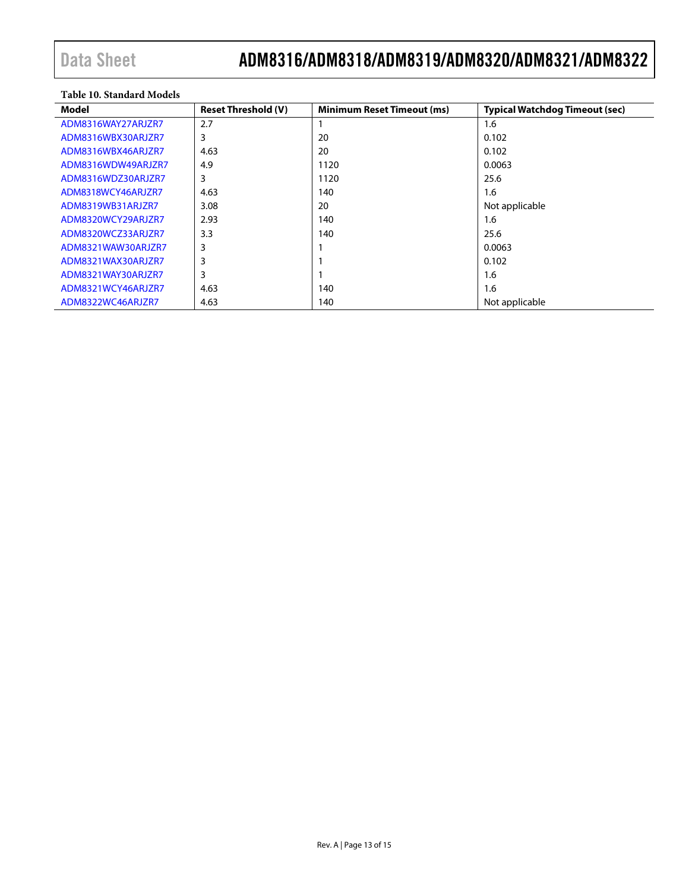#### <span id="page-12-0"></span>**Table 10. Standard Models**

| Model              | <b>Reset Threshold (V)</b> | <b>Minimum Reset Timeout (ms)</b> | <b>Typical Watchdog Timeout (sec)</b> |
|--------------------|----------------------------|-----------------------------------|---------------------------------------|
| ADM8316WAY27ARJZR7 | 2.7                        |                                   | 1.6                                   |
| ADM8316WBX30ARJZR7 | 3                          | 20                                | 0.102                                 |
| ADM8316WBX46ARJZR7 | 4.63                       | 20                                | 0.102                                 |
| ADM8316WDW49ARJZR7 | 4.9                        | 1120                              | 0.0063                                |
| ADM8316WDZ30ARJZR7 | 3                          | 1120                              | 25.6                                  |
| ADM8318WCY46ARJZR7 | 4.63                       | 140                               | 1.6                                   |
| ADM8319WB31ARJZR7  | 3.08                       | 20                                | Not applicable                        |
| ADM8320WCY29ARJZR7 | 2.93                       | 140                               | 1.6                                   |
| ADM8320WCZ33ARJZR7 | 3.3                        | 140                               | 25.6                                  |
| ADM8321WAW30ARJZR7 | 3                          |                                   | 0.0063                                |
| ADM8321WAX30ARJZR7 | 3                          |                                   | 0.102                                 |
| ADM8321WAY30ARJZR7 | 3                          |                                   | 1.6                                   |
| ADM8321WCY46ARJZR7 | 4.63                       | 140                               | 1.6                                   |
| ADM8322WC46ARJZR7  | 4.63                       | 140                               | Not applicable                        |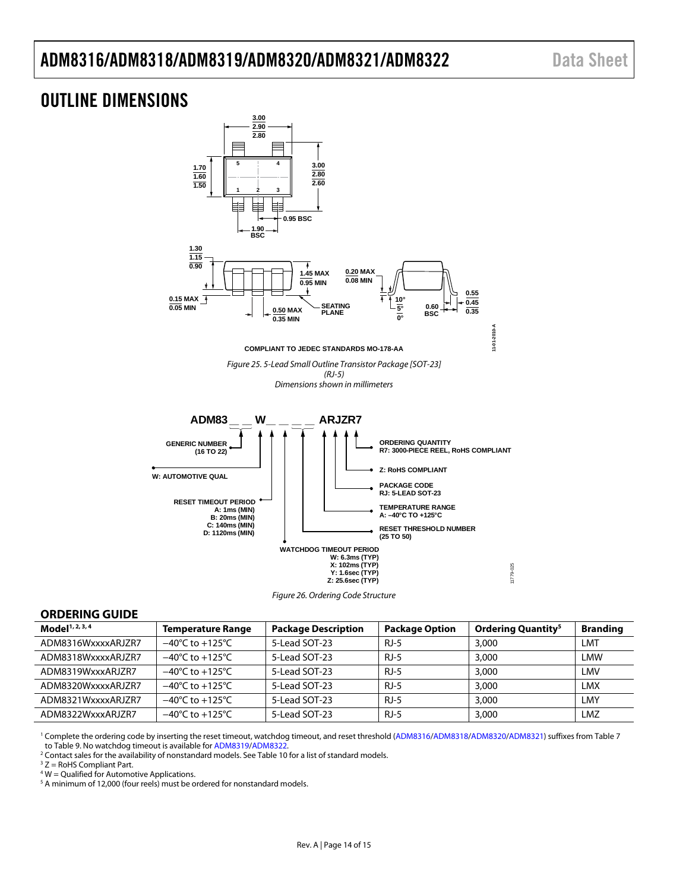### ADM8316/ADM8318/ADM8319/ADM8320/ADM8321/ADM8322 Data Sheet

### <span id="page-13-0"></span>OUTLINE DIMENSIONS



#### <span id="page-13-1"></span>**ORDERING GUIDE**

| Model <sup>1, 2, 3, 4</sup> | <b>Temperature Range</b>            | <b>Package Description</b> |        | <b>Ordering Quantity<sup>5</sup></b> | <b>Branding</b> |
|-----------------------------|-------------------------------------|----------------------------|--------|--------------------------------------|-----------------|
| ADM8316WxxxxARJZR7          | $-40^{\circ}$ C to $+125^{\circ}$ C | 5-Lead SOT-23              | $RJ-5$ | 3,000                                | LMT             |
| ADM8318WxxxxARJZR7          | $-40^{\circ}$ C to $+125^{\circ}$ C | 5-Lead SOT-23              | $RJ-5$ | 3,000                                | LMW             |
| ADM8319WxxxARJZR7           | $-40^{\circ}$ C to $+125^{\circ}$ C | 5-Lead SOT-23              | $RJ-5$ | 3,000                                | LMV             |
| ADM8320WxxxxARJ7R7          | $-40^{\circ}$ C to $+125^{\circ}$ C | 5-Lead SOT-23              | $RJ-5$ | 3,000                                | LMX             |
| ADM8321WxxxxARJZR7          | $-40^{\circ}$ C to $+125^{\circ}$ C | 5-Lead SOT-23              | $RJ-5$ | 3,000                                | LMY             |
| ADM8322WxxxARJ7R7           | $-40^{\circ}$ C to $+125^{\circ}$ C | 5-Lead SOT-23              | $RJ-5$ | 3,000                                | LMZ             |

<sup>1</sup> Complete the ordering code by inserting the reset timeout, watchdog timeout, and reset threshold [\(ADM8316/](http://www.analog.com/ADM8316?doc=ADM8316_8318_8319_8320_8321_8322.pdf)[ADM8318](http://www.analog.com/ADM8318?doc=ADM8316_8318_8319_8320_8321_8322.pdf)[/ADM8320](http://www.analog.com/ADM8320?doc=ADM8316_8318_8319_8320_8321_8322.pdf)[/ADM8321\)](http://www.analog.com/ADM8321?doc=ADM8316_8318_8319_8320_8321_8322.pdf) suffixes fro[m Table 7](#page-11-2) t[o Table 9.](#page-11-4) No watchdog timeout is available fo[r ADM8319/](http://www.analog.com/ADM8319?doc=ADM8316_8318_8319_8320_8321_8322.pdf)[ADM8322.](http://www.analog.com/ADM8322?doc=ADM8316_8318_8319_8320_8321_8322.pdf)

<sup>2</sup> Contact sales for the availability of nonstandard models. Se[e Table 10](#page-12-0) for a list of standard models.

 $3 Z =$  RoHS Compliant Part.

<sup>4</sup> W = Qualified for Automotive Applications.

<sup>5</sup> A minimum of 12,000 (four reels) must be ordered for nonstandard models.